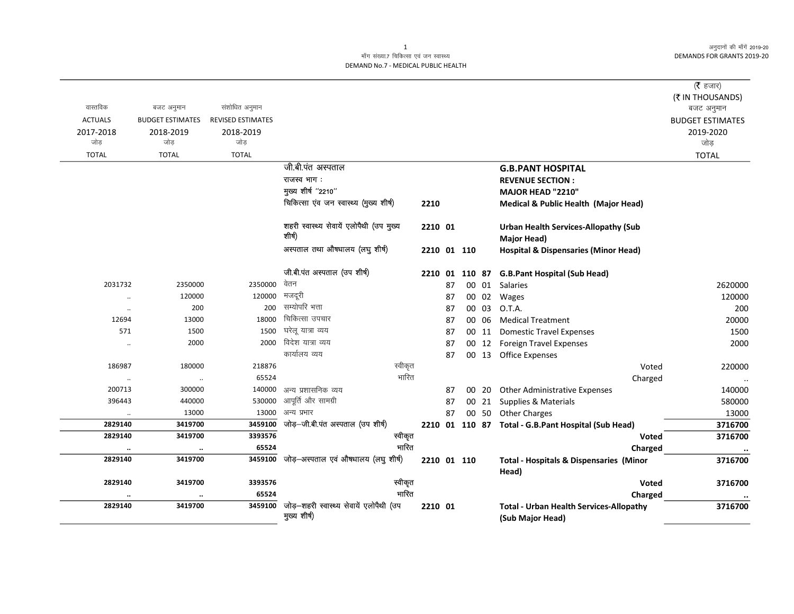# माँग संख्या.7 चिकित्सा एवं जन स्वास्थ्य DEMAND No.7 - MEDICAL PUBLIC HEALTH

|                      |                         |                          |                                                         |         |    |             |       |                                                                    | ( $\bar{\tau}$ हजार)<br>(₹ IN THOUSANDS) |
|----------------------|-------------------------|--------------------------|---------------------------------------------------------|---------|----|-------------|-------|--------------------------------------------------------------------|------------------------------------------|
| वास्तविक             | बजट अनुमान              | संशोधित अनुमान           |                                                         |         |    |             |       |                                                                    | बजट अनुमान                               |
| <b>ACTUALS</b>       | <b>BUDGET ESTIMATES</b> | <b>REVISED ESTIMATES</b> |                                                         |         |    |             |       |                                                                    | <b>BUDGET ESTIMATES</b>                  |
| 2017-2018            | 2018-2019               | 2018-2019                |                                                         |         |    |             |       |                                                                    | 2019-2020                                |
| जोड़                 | जोड़                    | जोड़                     |                                                         |         |    |             |       |                                                                    | जोड़                                     |
| <b>TOTAL</b>         | <b>TOTAL</b>            | <b>TOTAL</b>             |                                                         |         |    |             |       |                                                                    | <b>TOTAL</b>                             |
|                      |                         |                          | जी.बी.पंत अस्पताल                                       |         |    |             |       | <b>G.B.PANT HOSPITAL</b>                                           |                                          |
|                      |                         |                          | राजस्व भाग:                                             |         |    |             |       | <b>REVENUE SECTION:</b>                                            |                                          |
|                      |                         |                          | मुख्य शीर्ष "2210"                                      |         |    |             |       | MAJOR HEAD "2210"                                                  |                                          |
|                      |                         |                          | चिकित्सा एंव जन स्वास्थ्य (मुख्य शीर्ष)                 | 2210    |    |             |       | Medical & Public Health (Major Head)                               |                                          |
|                      |                         |                          | शहरी स्वास्थ्य सेवायें एलोपैथी (उप मुख्य<br>शीर्ष)      | 2210 01 |    |             |       | <b>Urban Health Services-Allopathy (Sub</b><br>Major Head)         |                                          |
|                      |                         |                          | अस्पताल तथा औषधालय (लघु शीर्ष)                          |         |    | 2210 01 110 |       | <b>Hospital &amp; Dispensaries (Minor Head)</b>                    |                                          |
|                      |                         |                          | जी.बी.पंत अस्पताल (उप शीर्ष)                            |         |    |             |       | 2210 01 110 87 G.B.Pant Hospital (Sub Head)                        |                                          |
| 2031732              | 2350000                 | 2350000                  | वेतन                                                    |         | 87 |             |       | 00 01 Salaries                                                     | 2620000                                  |
| $\ddot{\phantom{a}}$ | 120000                  | 120000                   | मजदूरी                                                  |         | 87 |             | 00 02 | Wages                                                              | 120000                                   |
| $\ddot{\phantom{a}}$ | 200                     | 200                      | सम्योपरि भत्ता                                          |         | 87 |             | 00 03 | O.T.A.                                                             | 200                                      |
| 12694                | 13000                   | 18000                    | चिकित्सा उपचार                                          |         | 87 |             | 00 06 | <b>Medical Treatment</b>                                           | 20000                                    |
| 571                  | 1500                    | 1500                     | घरेलू यात्रा व्यय                                       |         | 87 |             | 00 11 | <b>Domestic Travel Expenses</b>                                    | 1500                                     |
| $\ddot{\phantom{a}}$ | 2000                    | 2000                     | विदेश यात्रा व्यय                                       |         | 87 |             |       | 00 12 Foreign Travel Expenses                                      | 2000                                     |
|                      |                         |                          | कार्यालय व्यय                                           |         | 87 |             |       | 00 13 Office Expenses                                              |                                          |
| 186987               | 180000                  | 218876                   | स्वीकृत                                                 |         |    |             |       | Voted                                                              | 220000                                   |
| $\ldots$             | $\cdot\cdot$            | 65524                    | भारित                                                   |         |    |             |       | Charged                                                            | $\ddotsc$                                |
| 200713               | 300000                  | 140000                   | अन्य प्रशासनिक व्यय                                     |         | 87 |             |       | 00 20 Other Administrative Expenses                                | 140000                                   |
| 396443               | 440000                  | 530000                   | आपूर्ति और सामग्री                                      |         | 87 |             |       | 00 21 Supplies & Materials                                         | 580000                                   |
| $\ldots$             | 13000                   | 13000                    | अन्य प्रभार                                             |         | 87 |             |       | 00 50 Other Charges                                                | 13000                                    |
| 2829140              | 3419700                 | 3459100                  | जोड़-जी.बी.पंत अस्पताल (उप शीर्ष)                       |         |    |             |       | 2210 01 110 87 Total - G.B.Pant Hospital (Sub Head)                | 3716700                                  |
| 2829140              | 3419700                 | 3393576                  | स्वीकृत                                                 |         |    |             |       | <b>Voted</b>                                                       | 3716700                                  |
|                      | $\ddot{\phantom{a}}$    | 65524                    | भारित                                                   |         |    |             |       | Charged                                                            | $\cdot\cdot$                             |
| 2829140              | 3419700                 | 3459100                  | जोड़-अस्पताल एवं औषधालय (लघु शीर्ष)                     |         |    | 2210 01 110 |       | <b>Total - Hospitals &amp; Dispensaries (Minor</b><br>Head)        | 3716700                                  |
| 2829140              | 3419700                 | 3393576                  | स्वीकृत                                                 |         |    |             |       | Voted                                                              | 3716700                                  |
|                      | $\ddotsc$               | 65524                    | भारित                                                   |         |    |             |       | Charged                                                            |                                          |
| 2829140              | 3419700                 | 3459100                  | जोड़-शहरी स्वास्थ्य सेवायें एलोपैथी (उप<br>मुख्य शीर्ष) | 2210 01 |    |             |       | <b>Total - Urban Health Services-Allopathy</b><br>(Sub Major Head) | 3716700                                  |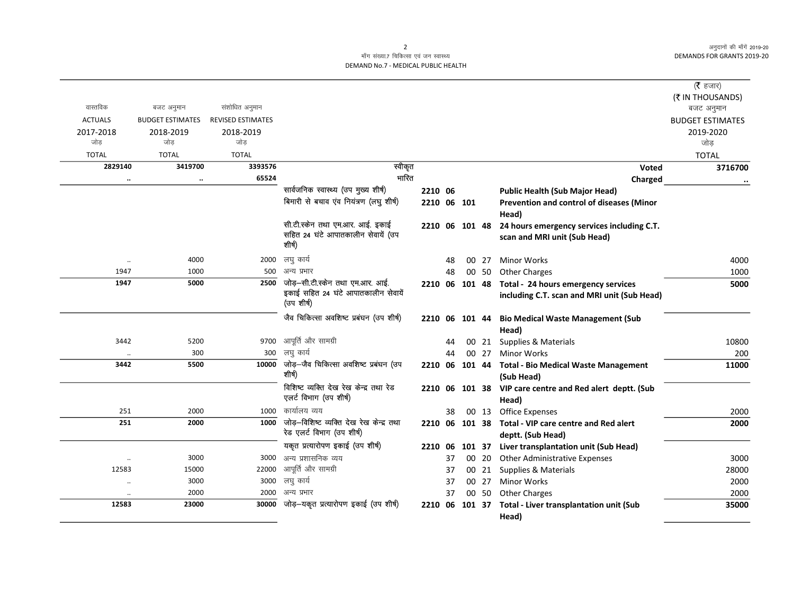# माँग संख्या.7 चिकित्सा एवं जन स्वास्थ्य DEMAND No.7 - MEDICAL PUBLIC HEALTH

|                               |                         |                          |                                                   |                |    |        |       |                                                          | ( $\bar{\tau}$ हजार)    |
|-------------------------------|-------------------------|--------------------------|---------------------------------------------------|----------------|----|--------|-------|----------------------------------------------------------|-------------------------|
|                               |                         |                          |                                                   |                |    |        |       |                                                          | (₹ IN THOUSANDS)        |
| वास्तविक                      | बजट अनुमान              | संशोधित अनुमान           |                                                   |                |    |        |       |                                                          | बजट अनुमान              |
| <b>ACTUALS</b>                | <b>BUDGET ESTIMATES</b> | <b>REVISED ESTIMATES</b> |                                                   |                |    |        |       |                                                          | <b>BUDGET ESTIMATES</b> |
| 2017-2018                     | 2018-2019               | 2018-2019                |                                                   |                |    |        |       |                                                          | 2019-2020               |
| जोड                           | जोड                     | जोड                      |                                                   |                |    |        |       |                                                          | जोड़                    |
| <b>TOTAL</b>                  | <b>TOTAL</b>            | <b>TOTAL</b>             |                                                   |                |    |        |       |                                                          | <b>TOTAL</b>            |
| 2829140                       | 3419700                 | 3393576                  | स्वीकृत                                           |                |    |        |       | Voted                                                    | 3716700                 |
|                               | $\ddotsc$               | 65524                    | भारित                                             |                |    |        |       | Charged                                                  |                         |
|                               |                         |                          | सार्वजनिक स्वास्थ्य (उप मुख्य शीर्ष)              | 2210 06        |    |        |       | <b>Public Health (Sub Major Head)</b>                    |                         |
|                               |                         |                          | बिमारी से बचाव एंव नियंत्रण (लघु शीर्ष)           | 2210 06 101    |    |        |       | Prevention and control of diseases (Minor                |                         |
|                               |                         |                          |                                                   |                |    |        |       | Head)                                                    |                         |
|                               |                         |                          | सी.टी.स्केन तथा एम.आर. आई. इकाई                   | 2210 06 101 48 |    |        |       | 24 hours emergency services including C.T.               |                         |
|                               |                         |                          | सहित 24 घंटे आपातकालीन सेवायें (उप<br>शीर्ष)      |                |    |        |       | scan and MRI unit (Sub Head)                             |                         |
|                               |                         |                          |                                                   |                |    |        |       |                                                          |                         |
| $\cdot\cdot$                  | 4000                    | 2000                     | लघु कार्य                                         |                | 48 | 00     | 27    | <b>Minor Works</b>                                       | 4000                    |
| 1947                          | 1000                    | 500                      | अन्य प्रभार                                       |                | 48 |        | 00 50 | <b>Other Charges</b>                                     | 1000                    |
| 1947                          | 5000                    | 2500                     | जोड़–सी.टी.स्केन तथा एम.आर. आई.                   | 2210 06 101 48 |    |        |       | Total - 24 hours emergency services                      | 5000                    |
|                               |                         |                          | इकाई सहित 24 घंटे आपातकालीन सेवायें<br>(उप शीर्ष) |                |    |        |       | including C.T. scan and MRI unit (Sub Head)              |                         |
|                               |                         |                          | जैव चिकित्सा अवशिष्ट प्रबंघन (उप शीर्ष)           | 2210 06 101 44 |    |        |       | <b>Bio Medical Waste Management (Sub</b>                 |                         |
|                               |                         |                          |                                                   |                |    |        |       | Head)                                                    |                         |
| 3442                          | 5200                    | 9700                     | आपूर्ति और सामग्री                                |                | 44 |        | 00 21 | Supplies & Materials                                     | 10800                   |
| $\cdot\cdot$                  | 300                     | 300                      | लघु कार्य                                         |                | 44 |        | 00 27 | <b>Minor Works</b>                                       | 200                     |
| 3442                          | 5500                    | 10000                    | जोड़-जैव चिकित्सा अवशिष्ट प्रबंघन (उप<br>शीर्ष)   | 2210 06        |    | 101 44 |       | <b>Total - Bio Medical Waste Management</b>              | 11000                   |
|                               |                         |                          | विशिष्ट व्यक्ति देख रेख केन्द्र तथा रेड           |                |    |        |       | (Sub Head)                                               |                         |
|                               |                         |                          | एलर्ट विभाग (उप शीर्ष)                            |                |    |        |       | 2210 06 101 38 VIP care centre and Red alert deptt. (Sub |                         |
| 251                           | 2000                    | 1000                     | कार्यालय व्यय                                     |                | 38 |        | 00 13 | Head)<br><b>Office Expenses</b>                          | 2000                    |
| 251                           | 2000                    | 1000                     | जोड़-विशिष्ट व्यक्ति देख रेख केन्द्र तथा          | 2210 06 101 38 |    |        |       | Total - VIP care centre and Red alert                    | 2000                    |
|                               |                         |                          | रेड एलर्ट विभाग (उप शीर्ष)                        |                |    |        |       | deptt. (Sub Head)                                        |                         |
|                               |                         |                          | यकृत प्रत्यारोपण इकाई (उप शीर्ष)                  | 2210           | 06 | 101 37 |       | Liver transplantation unit (Sub Head)                    |                         |
|                               | 3000                    | 3000                     | अन्य प्रशासनिक व्यय                               |                | 37 |        | 00 20 | Other Administrative Expenses                            | 3000                    |
| $\cdot\cdot$<br>12583         | 15000                   | 22000                    | आपूर्ति और सामग्री                                |                | 37 |        | 00 21 | Supplies & Materials                                     | 28000                   |
| $\ddot{\phantom{0}}$          | 3000                    | 3000                     | लघु कार्य                                         |                | 37 |        | 00 27 | Minor Works                                              | 2000                    |
|                               | 2000                    | 2000                     | अन्य प्रभार                                       |                | 37 |        | 00 50 | <b>Other Charges</b>                                     | 2000                    |
| $\ddot{\phantom{0}}$<br>12583 | 23000                   | 30000                    | जोड़–यकृत प्रत्यारोपण इकाई (उप शीर्ष)             | 2210           | 06 | 101 37 |       | Total - Liver transplantation unit (Sub                  | 35000                   |
|                               |                         |                          |                                                   |                |    |        |       | Head)                                                    |                         |
|                               |                         |                          |                                                   |                |    |        |       |                                                          |                         |

2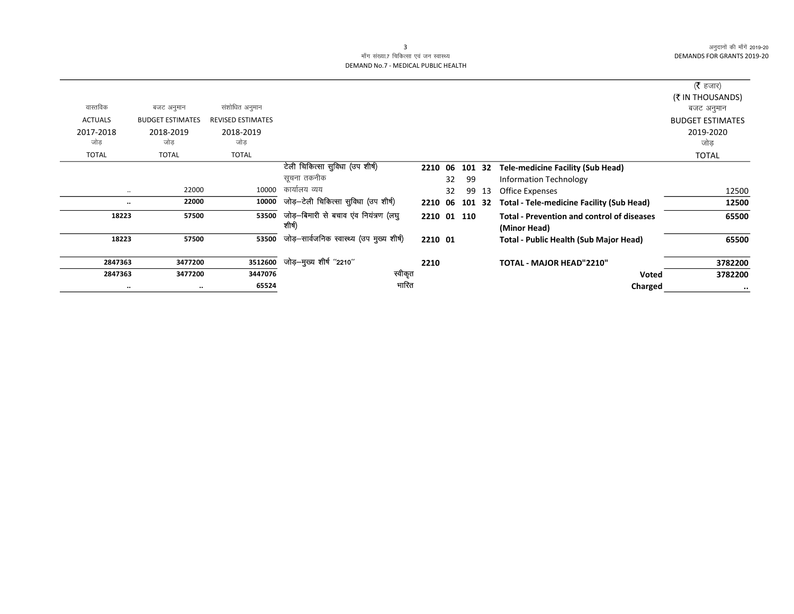# माँग संख्या.7 चिकित्सा एवं जन स्वास्थ्य DEMAND No.7 - MEDICAL PUBLIC HEALTH

| वास्तविक       | बजट अनुमान              | संशोधित अनुमान           |                                                 |             |    |     |    |                                                                   | (रै हजार)<br>(₹ IN THOUSANDS)<br>बजट अनुमान |
|----------------|-------------------------|--------------------------|-------------------------------------------------|-------------|----|-----|----|-------------------------------------------------------------------|---------------------------------------------|
| <b>ACTUALS</b> | <b>BUDGET ESTIMATES</b> | <b>REVISED ESTIMATES</b> |                                                 |             |    |     |    |                                                                   | <b>BUDGET ESTIMATES</b>                     |
| 2017-2018      | 2018-2019               | 2018-2019                |                                                 |             |    |     |    |                                                                   | 2019-2020                                   |
| जोड            | जोड                     | जोड                      |                                                 |             |    |     |    |                                                                   | जोड                                         |
| <b>TOTAL</b>   | <b>TOTAL</b>            | <b>TOTAL</b>             |                                                 |             |    |     |    |                                                                   | <b>TOTAL</b>                                |
|                |                         |                          | टेली चिकित्सा सुविधा (उप शीर्ष)                 | 2210 06     |    | 101 | 32 | <b>Tele-medicine Facility (Sub Head)</b>                          |                                             |
|                |                         |                          | सूचना तकनीक                                     |             | 32 | 99  |    | <b>Information Technology</b>                                     |                                             |
| $\ldots$       | 22000                   | 10000                    | कार्यालय व्यय                                   |             | 32 | 99  | 13 | <b>Office Expenses</b>                                            | 12500                                       |
|                | 22000                   | 10000                    | जोड़-टेली चिकित्सा सुविधा (उप शीर्ष)            | 2210 06     |    | 101 | 32 | <b>Total - Tele-medicine Facility (Sub Head)</b>                  | 12500                                       |
| 18223          | 57500                   | 53500                    | जोड़-बिमारी से बचाव एंव नियंत्रण (लघु<br>शोर्ष) | 2210 01 110 |    |     |    | <b>Total - Prevention and control of diseases</b><br>(Minor Head) | 65500                                       |
| 18223          | 57500                   | 53500                    | जोड़-सार्वजनिक स्वास्थ्य (उप मुख्य शीर्ष)       | 2210 01     |    |     |    | <b>Total - Public Health (Sub Major Head)</b>                     | 65500                                       |
| 2847363        | 3477200                 | 3512600                  | जोड़—मुख्य शीर्ष "2210"                         | 2210        |    |     |    | <b>TOTAL - MAJOR HEAD"2210"</b>                                   | 3782200                                     |
| 2847363        | 3477200                 | 3447076                  | स्वीकृत                                         |             |    |     |    | <b>Voted</b>                                                      | 3782200                                     |
| $\ddotsc$      |                         | 65524                    | भारित                                           |             |    |     |    | Charged                                                           | $\cdot \cdot$                               |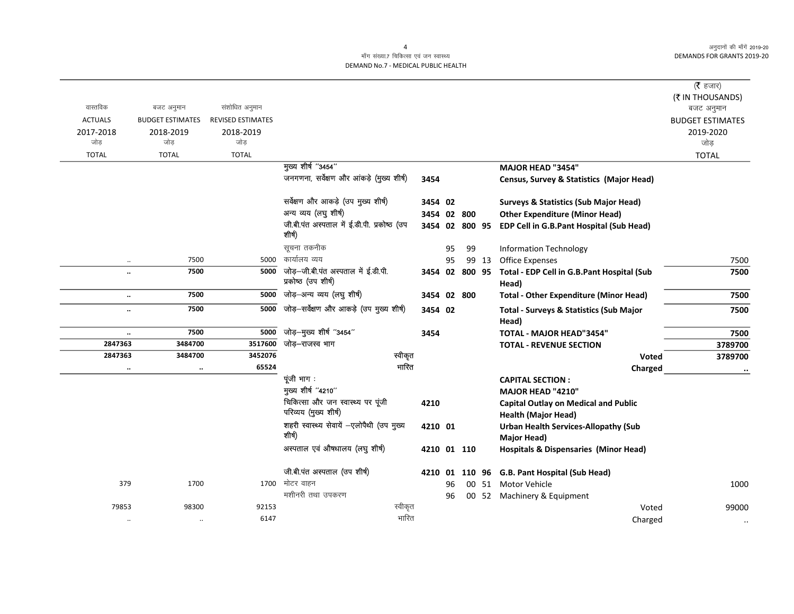$\overline{\phantom{0}}$ 

# माँग संख्या.7 चिकित्सा एवं जन स्वास्थ्य DEMAND No.7 - MEDICAL PUBLIC HEALTH

|                      |                         |                          |                                                            |         |    |                |       |                                                             | ( $\bar{\tau}$ हजार)<br>(₹ IN THOUSANDS) |
|----------------------|-------------------------|--------------------------|------------------------------------------------------------|---------|----|----------------|-------|-------------------------------------------------------------|------------------------------------------|
| वास्तविक             | बजट अनुमान              | संशोधित अनुमान           |                                                            |         |    |                |       |                                                             | बजट अनुमान                               |
| <b>ACTUALS</b>       | <b>BUDGET ESTIMATES</b> | <b>REVISED ESTIMATES</b> |                                                            |         |    |                |       |                                                             | <b>BUDGET ESTIMATES</b>                  |
| 2017-2018            | 2018-2019               | 2018-2019                |                                                            |         |    |                |       |                                                             | 2019-2020                                |
| जोड                  | जोड                     | जोड                      |                                                            |         |    |                |       |                                                             | जोड                                      |
| <b>TOTAL</b>         | <b>TOTAL</b>            | <b>TOTAL</b>             |                                                            |         |    |                |       |                                                             | <b>TOTAL</b>                             |
|                      |                         |                          | मुख्य शीर्ष "3454"                                         |         |    |                |       | MAJOR HEAD "3454"                                           |                                          |
|                      |                         |                          | जनगणना, सर्वेक्षण और आंकड़े (मुख्य शीर्ष)                  | 3454    |    |                |       | Census, Survey & Statistics (Major Head)                    |                                          |
|                      |                         |                          | सर्वेक्षण और आकड़े (उप मुख्य शीर्ष)                        | 3454 02 |    |                |       | <b>Surveys &amp; Statistics (Sub Major Head)</b>            |                                          |
|                      |                         |                          | अन्य व्यय (लघु शीर्ष)                                      |         |    | 3454 02 800    |       | <b>Other Expenditure (Minor Head)</b>                       |                                          |
|                      |                         |                          | जी.बी.पंत अस्पताल में ई.डी.पी. प्रकोष्ठ (उप<br>शीर्ष)      |         |    | 3454 02 800 95 |       | EDP Cell in G.B.Pant Hospital (Sub Head)                    |                                          |
|                      |                         |                          | सूचना तकनीक                                                |         | 95 | 99             |       | <b>Information Technology</b>                               |                                          |
| $\ddot{\phantom{0}}$ | 7500                    | 5000                     | कार्यालय व्यय                                              |         | 95 |                | 99 13 | <b>Office Expenses</b>                                      | 7500                                     |
| $\ddotsc$            | 7500                    | 5000                     | जोड़–जी.बी.पंत अस्पताल में ई.डी.पी.<br>प्रकोष्ठ (उप शीर्ष) |         |    | 3454 02 800 95 |       | Total - EDP Cell in G.B.Pant Hospital (Sub<br>Head)         | 7500                                     |
| $\ldots$             | 7500                    | 5000                     | जोड़-अन्य व्यय (लघु शीर्ष)                                 |         |    | 3454 02 800    |       | <b>Total - Other Expenditure (Minor Head)</b>               | 7500                                     |
| $\ddot{\phantom{a}}$ | 7500                    | 5000                     | जोड़-सर्वेक्षण और आकड़े (उप मुख्य शीर्ष)                   | 3454 02 |    |                |       | <b>Total - Surveys &amp; Statistics (Sub Major</b><br>Head) | 7500                                     |
| $\ddot{\phantom{a}}$ | 7500                    | 5000                     | जोड़-मुख्य शीर्ष "3454"                                    | 3454    |    |                |       | TOTAL - MAJOR HEAD"3454"                                    | 7500                                     |
| 2847363              | 3484700                 | 3517600                  | जोड़–राजस्व भाग                                            |         |    |                |       | <b>TOTAL - REVENUE SECTION</b>                              | 3789700                                  |
| 2847363              | 3484700                 | 3452076                  | स्वीकृत                                                    |         |    |                |       | Voted                                                       | 3789700                                  |
|                      | $\cdot\cdot$            | 65524                    | भारित                                                      |         |    |                |       | Charged                                                     |                                          |
|                      |                         |                          | पूंजी भाग :                                                |         |    |                |       | <b>CAPITAL SECTION:</b>                                     |                                          |
|                      |                         |                          | मुख्य शीर्ष "4210"                                         |         |    |                |       | MAJOR HEAD "4210"                                           |                                          |
|                      |                         |                          | चिकित्सा और जन स्वास्थ्य पर पूंजी                          | 4210    |    |                |       | <b>Capital Outlay on Medical and Public</b>                 |                                          |
|                      |                         |                          | परिव्यय (मुख्य शीर्ष)                                      |         |    |                |       | <b>Health (Major Head)</b>                                  |                                          |
|                      |                         |                          | शहरी स्वास्थ्य सेवायें -एलोपैथी (उप मुख्य                  | 4210 01 |    |                |       | <b>Urban Health Services-Allopathy (Sub</b>                 |                                          |
|                      |                         |                          | शीर्ष)                                                     |         |    |                |       | Major Head)                                                 |                                          |
|                      |                         |                          | अस्पताल एवं औषधालय (लघु शीर्ष)                             |         |    | 4210 01 110    |       | <b>Hospitals &amp; Dispensaries (Minor Head)</b>            |                                          |
|                      |                         |                          | जी.बी.पंत अस्पताल (उप शीर्ष)                               | 4210 01 |    |                |       | 110 96 G.B. Pant Hospital (Sub Head)                        |                                          |
| 379                  | 1700                    |                          | 1700 मोटर वाहन                                             |         | 96 |                |       | 00 51 Motor Vehicle                                         | 1000                                     |
|                      |                         |                          | मशीनरी तथा उपकरण                                           |         | 96 |                |       | 00 52 Machinery & Equipment                                 |                                          |
| 79853                | 98300                   | 92153                    | स्वीकृत                                                    |         |    |                |       | Voted                                                       | 99000                                    |
| $\cdot\cdot$         | $\cdot\cdot$            | 6147                     | भारित                                                      |         |    |                |       | Charged                                                     | $\cdot\cdot$                             |

4